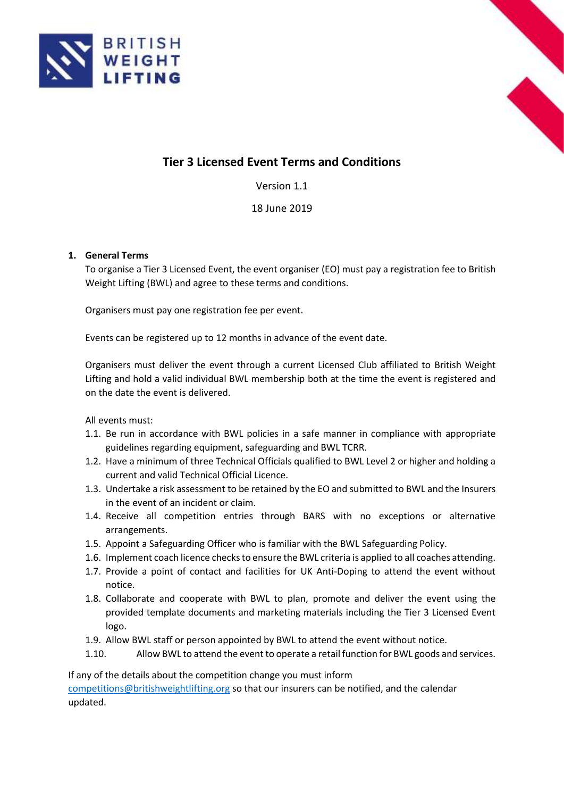



# **Tier 3 Licensed Event Terms and Conditions**

Version 1.1

18 June 2019

# **1. General Terms**

To organise a Tier 3 Licensed Event, the event organiser (EO) must pay a registration fee to British Weight Lifting (BWL) and agree to these terms and conditions.

Organisers must pay one registration fee per event.

Events can be registered up to 12 months in advance of the event date.

Organisers must deliver the event through a current Licensed Club affiliated to British Weight Lifting and hold a valid individual BWL membership both at the time the event is registered and on the date the event is delivered.

All events must:

- 1.1. Be run in accordance with BWL policies in a safe manner in compliance with appropriate guidelines regarding equipment, safeguarding and BWL TCRR.
- 1.2. Have a minimum of three Technical Officials qualified to BWL Level 2 or higher and holding a current and valid Technical Official Licence.
- 1.3. Undertake a risk assessment to be retained by the EO and submitted to BWL and the Insurers in the event of an incident or claim.
- 1.4. Receive all competition entries through BARS with no exceptions or alternative arrangements.
- 1.5. Appoint a Safeguarding Officer who is familiar with the BWL Safeguarding Policy.
- 1.6. Implement coach licence checks to ensure the BWL criteria is applied to all coaches attending.
- 1.7. Provide a point of contact and facilities for UK Anti-Doping to attend the event without notice.
- 1.8. Collaborate and cooperate with BWL to plan, promote and deliver the event using the provided template documents and marketing materials including the Tier 3 Licensed Event logo.
- 1.9. Allow BWL staff or person appointed by BWL to attend the event without notice.
- 1.10. Allow BWL to attend the event to operate a retail function for BWL goods and services.

If any of the details about the competition change you must inform [competitions@britishweightlifting.org](mailto:competitions@britishweightlifting.org) so that our insurers can be notified, and the calendar updated.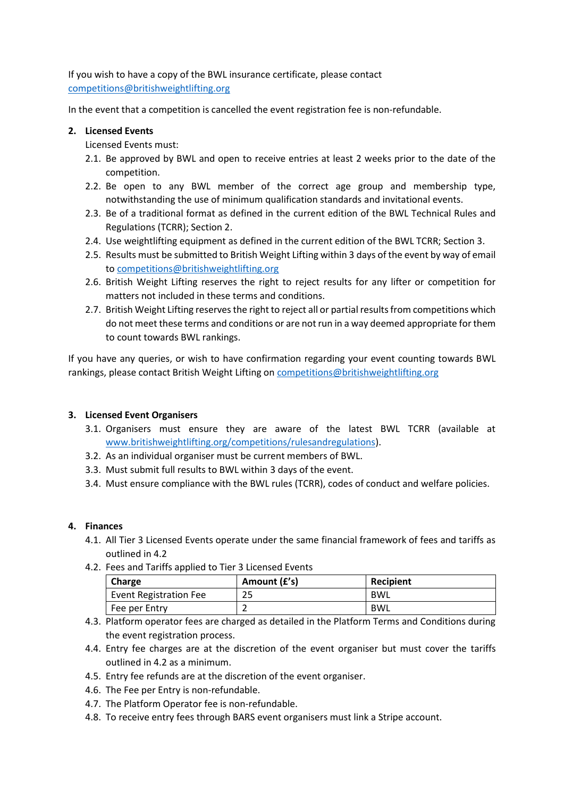If you wish to have a copy of the BWL insurance certificate, please contact [competitions@britishweightlifting.org](mailto:competitions@britishweightlifting.org)

In the event that a competition is cancelled the event registration fee is non-refundable.

### **2. Licensed Events**

Licensed Events must:

- 2.1. Be approved by BWL and open to receive entries at least 2 weeks prior to the date of the competition.
- 2.2. Be open to any BWL member of the correct age group and membership type, notwithstanding the use of minimum qualification standards and invitational events.
- 2.3. Be of a traditional format as defined in the current edition of the BWL Technical Rules and Regulations (TCRR); Section 2.
- 2.4. Use weightlifting equipment as defined in the current edition of the BWL TCRR; Section 3.
- 2.5. Results must be submitted to British Weight Lifting within 3 days of the event by way of email t[o competitions@britishweightlifting.org](mailto:competitions@britishweightlifting.org)
- 2.6. British Weight Lifting reserves the right to reject results for any lifter or competition for matters not included in these terms and conditions.
- 2.7. British Weight Lifting reserves the right to reject all or partial results from competitions which do not meet these terms and conditions or are not run in a way deemed appropriate for them to count towards BWL rankings.

If you have any queries, or wish to have confirmation regarding your event counting towards BWL rankings, please contact British Weight Lifting o[n competitions@britishweightlifting.org](mailto:competitions@britishweightlifting.org)

# **3. Licensed Event Organisers**

- 3.1. Organisers must ensure they are aware of the latest BWL TCRR (available at [www.britishweightlifting.org/competitions/rulesandregulations\)](http://www.britishweightlifting.org/competitions/rulesandregulations).
- 3.2. As an individual organiser must be current members of BWL.
- 3.3. Must submit full results to BWL within 3 days of the event.
- 3.4. Must ensure compliance with the BWL rules (TCRR), codes of conduct and welfare policies.

#### **4. Finances**

- 4.1. All Tier 3 Licensed Events operate under the same financial framework of fees and tariffs as outlined in 4.2
- 4.2. Fees and Tariffs applied to Tier 3 Licensed Events

| Charge                 | Amount (£'s) | Recipient  |
|------------------------|--------------|------------|
| Event Registration Fee | 25           | BWL        |
| Fee per Entry          |              | <b>BWL</b> |

- 4.3. Platform operator fees are charged as detailed in the Platform Terms and Conditions during the event registration process.
- 4.4. Entry fee charges are at the discretion of the event organiser but must cover the tariffs outlined in 4.2 as a minimum.
- 4.5. Entry fee refunds are at the discretion of the event organiser.
- 4.6. The Fee per Entry is non-refundable.
- 4.7. The Platform Operator fee is non-refundable.
- 4.8. To receive entry fees through BARS event organisers must link a Stripe account.